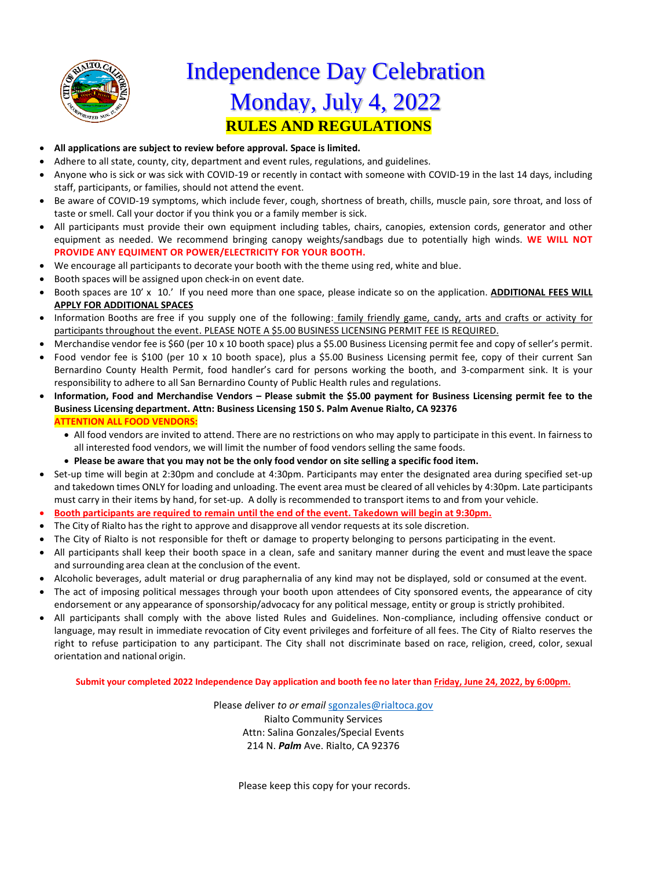

## **RULES AND REGULATIONS** Independence Day Celebration Monday, July 4, 2022

- **All applications are subject to review before approval. Space is limited.**
- Adhere to all state, county, city, department and event rules, regulations, and guidelines.
- Anyone [who is si](https://creativecommons.org/licenses/by-sa/3.0/)ck or was sick with COVID-19 or recently in contact with someone with COVID-19 in the last 14 days, including st[aff, partic](https://creativecommons.org/licenses/by-sa/3.0/)ipants, or families, should not attend the event.
- Be aware of COVID-19 symptoms, which include fever, cough, shortness of breath, chills, muscle pain, sore throat, and loss of taste or smell. Call your doctor if you think you or a family member is sick.
- All participants must provide their own equipment including tables, chairs, canopies, extension cords, generator and other equipment as needed. We recommend bringing canopy weights/sandbags due to potentially high winds. **WE WILL NOT PROVIDE ANY EQUIMENT OR POWER/ELECTRICITY FOR YOUR BOOTH.**
- We encourage all participants to decorate your booth with the theme using red, white and blue.
- Booth spaces will be assigned upon check-in on event date.
- Booth spaces are 10' x 10.' If you need more than one space, please indicate so on the application. **ADDITIONAL FEES WILL APPLY FOR ADDITIONAL SPACES**
- Information Booths are free if you supply one of the following: family friendly game, candy, arts and crafts or activity for participants throughout the event. PLEASE NOTE A \$5.00 BUSINESS LICENSING PERMIT FEE IS REQUIRED.
- Merchandise vendor fee is \$60 (per 10 x 10 booth space) plus a \$5.00 Business Licensing permit fee and copy of seller's permit.
- Food vendor fee is \$100 (per 10 x 10 booth space), plus a \$5.00 Business Licensing permit fee, copy of their current San Bernardino County Health Permit, food handler's card for persons working the booth, and 3-comparment sink. It is your responsibility to adhere to all San Bernardino County of Public Health rules and regulations.
- **Information, Food and Merchandise Vendors – Please submit the \$5.00 payment for Business Licensing permit fee to the Business Licensing department. Attn: Business Licensing 150 S. Palm Avenue Rialto, CA 92376 ATTENTION ALL FOOD VENDORS:**
	- All food vendors are invited to attend. There are no restrictions on who may apply to participate in this event. In fairness to all interested food vendors, we will limit the number of food vendors selling the same foods.
	- **Please be aware that you may not be the only food vendor on site selling a specific food item.**
- Set-up time will begin at 2:30pm and conclude at 4:30pm. Participants may enter the designated area during specified set-up and takedown times ONLY for loading and unloading. The event area must be cleared of all vehicles by 4:30pm. Late participants must carry in their items by hand, for set-up. A dolly is recommended to transport items to and from your vehicle.
- **Booth participants are required to remain until the end of the event. Takedown will begin at 9:30pm.**
- The City of Rialto has the right to approve and disapprove all vendor requests at its sole discretion.
- The City of Rialto is not responsible for theft or damage to property belonging to persons participating in the event.
- All participants shall keep their booth space in a clean, safe and sanitary manner during the event and mustleave the space and surrounding area clean at the conclusion of the event.
- Alcoholic beverages, adult material or drug paraphernalia of any kind may not be displayed, sold or consumed at the event.
- The act of imposing political messages through your booth upon attendees of City sponsored events, the appearance of city endorsement or any appearance of sponsorship/advocacy for any political message, entity or group is strictly prohibited.
- All participants shall comply with the above listed Rules and Guidelines. Non-compliance, including offensive conduct or language, may result in immediate revocation of City event privileges and forfeiture of all fees. The City of Rialto reserves the right to refuse participation to any participant. The City shall not discriminate based on race, religion, creed, color, sexual orientation and national origin.

**Submit your completed 2022 Independence Day application and booth fee no later than Friday, June 24, 2022, by 6:00pm.**

Please *deliver to or email* [sgonzales@rialtoca.gov](mailto:sgonzales@rialtoca.gov) Rialto Community Services Attn: Salina Gonzales/Special Events 214 N. *Palm* Ave. Rialto, CA 92376

Please keep this copy for your records.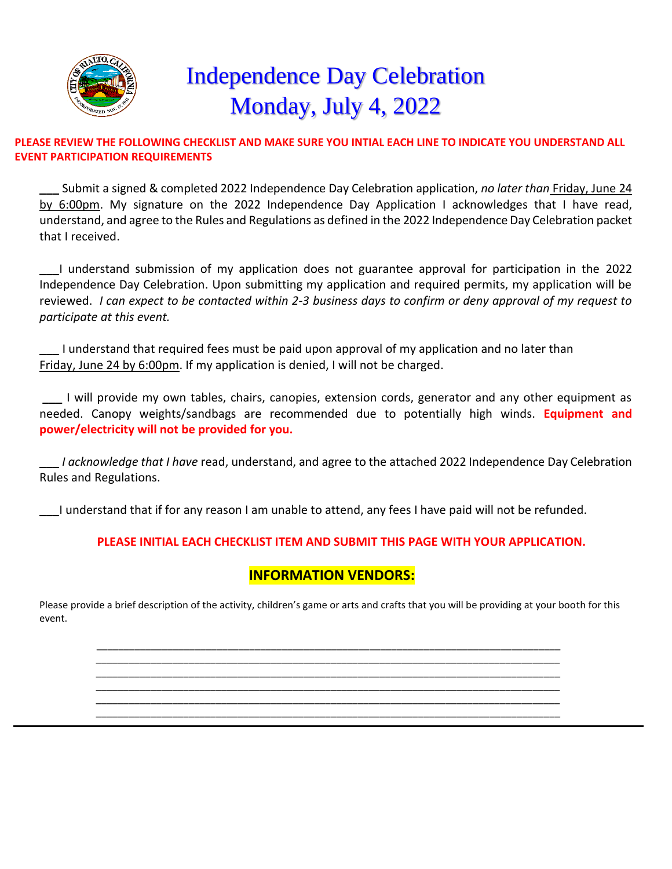

# **Independence Day Celebration** Monday, July 4, 2022

#### **PLEASE REVIEW THE FOLLOWING CHECKLIST AND MAKE SURE YOU INTIAL EACH LINE TO INDICATE YOU UNDERSTAND ALL EVENT PARTICIPATION REQUIREMENTS**

**\_\_\_** S[ubmit a](https://creativecommons.org/licenses/by-sa/3.0/) signed & completed 2022 Independence Day Celebration application, *no later than* Friday, June 24 by 6:00pm. My signature on the 2022 Independence Day Application I acknowledges that I have read, understand, and agree to the Rules and Regulations as defined in the 2022 Independence Day Celebration packet that I received.

**\_\_\_**I understand submission of my application does not guarantee approval for participation in the 2022 Independence Day Celebration. Upon submitting my application and required permits, my application will be reviewed. *I can expect to be contacted within 2-3 business days to confirm or deny approval of my request to participate at this event.*

**\_\_\_** I understand that required fees must be paid upon approval of my application and no later than Friday, June 24 by 6:00pm. If my application is denied, I will not be charged.

**\_\_\_** I will provide my own tables, chairs, canopies, extension cords, generator and any other equipment as needed. Canopy weights/sandbags are recommended due to potentially high winds. **Equipment and power/electricity will not be provided for you.**

**\_\_\_** *I acknowledge that I have* read, understand, and agree to the attached 2022 Independence Day Celebration Rules and Regulations.

**\_\_\_**I understand that if for any reason I am unable to attend, any fees I have paid will not be refunded.

#### **PLEASE INITIAL EACH CHECKLIST ITEM AND SUBMIT THIS PAGE WITH YOUR APPLICATION.**

### **INFORMATION VENDORS:**

Please provide a brief description of the activity, children's game or arts and crafts that you will be providing at your booth for this event.

\_\_\_\_\_\_\_\_\_\_\_\_\_\_\_\_\_\_\_\_\_\_\_\_\_\_\_\_\_\_\_\_\_\_\_\_\_\_\_\_\_\_\_\_\_\_\_\_\_\_\_\_\_\_\_\_\_\_\_\_\_\_\_\_\_\_\_\_\_\_\_\_\_\_\_\_\_\_\_\_\_\_\_\_\_ \_\_\_\_\_\_\_\_\_\_\_\_\_\_\_\_\_\_\_\_\_\_\_\_\_\_\_\_\_\_\_\_\_\_\_\_\_\_\_\_\_\_\_\_\_\_\_\_\_\_\_\_\_\_\_\_\_\_\_\_\_\_\_\_\_\_\_\_\_\_\_\_\_\_\_\_\_\_\_\_\_\_\_\_\_ \_\_\_\_\_\_\_\_\_\_\_\_\_\_\_\_\_\_\_\_\_\_\_\_\_\_\_\_\_\_\_\_\_\_\_\_\_\_\_\_\_\_\_\_\_\_\_\_\_\_\_\_\_\_\_\_\_\_\_\_\_\_\_\_\_\_\_\_\_\_\_\_\_\_\_\_\_\_\_\_\_\_\_\_\_ \_\_\_\_\_\_\_\_\_\_\_\_\_\_\_\_\_\_\_\_\_\_\_\_\_\_\_\_\_\_\_\_\_\_\_\_\_\_\_\_\_\_\_\_\_\_\_\_\_\_\_\_\_\_\_\_\_\_\_\_\_\_\_\_\_\_\_\_\_\_\_\_\_\_\_\_\_\_\_\_\_\_\_\_\_ \_\_\_\_\_\_\_\_\_\_\_\_\_\_\_\_\_\_\_\_\_\_\_\_\_\_\_\_\_\_\_\_\_\_\_\_\_\_\_\_\_\_\_\_\_\_\_\_\_\_\_\_\_\_\_\_\_\_\_\_\_\_\_\_\_\_\_\_\_\_\_\_\_\_\_\_\_\_\_\_\_\_\_\_\_

\_\_\_\_\_\_\_\_\_\_\_\_\_\_\_\_\_\_\_\_\_\_\_\_\_\_\_\_\_\_\_\_\_\_\_\_\_\_\_\_\_\_\_\_\_\_\_\_\_\_\_\_\_\_\_\_\_\_\_\_\_\_\_\_\_\_\_\_\_\_\_\_\_\_\_\_\_\_\_\_\_\_\_\_\_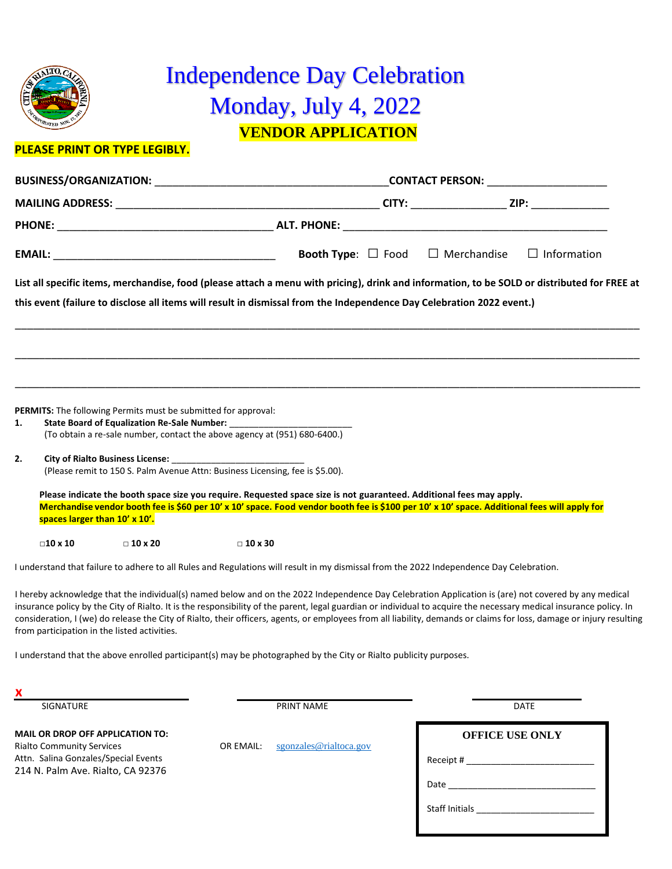

### **VENDOR APPLICATION** Independence Day Celebration Monday, July 4, 2022

#### **P[LEASE PRI](https://en.m.wikipedia.org/wiki/File:Seal_of_Rialto,_California.png)NT OR TYPE LEGIBLY.**

|    |                                                                               |                                                                |                                                                                                                                                                                                                                                                      |  |  | <b>Booth Type:</b> $\Box$ Food $\Box$ Merchandise | $\Box$ Information                                                                                                                                                                                                                                                                                                                                                                                                                                                                                 |  |
|----|-------------------------------------------------------------------------------|----------------------------------------------------------------|----------------------------------------------------------------------------------------------------------------------------------------------------------------------------------------------------------------------------------------------------------------------|--|--|---------------------------------------------------|----------------------------------------------------------------------------------------------------------------------------------------------------------------------------------------------------------------------------------------------------------------------------------------------------------------------------------------------------------------------------------------------------------------------------------------------------------------------------------------------------|--|
|    |                                                                               |                                                                | this event (failure to disclose all items will result in dismissal from the Independence Day Celebration 2022 event.)                                                                                                                                                |  |  |                                                   | List all specific items, merchandise, food (please attach a menu with pricing), drink and information, to be SOLD or distributed for FREE at                                                                                                                                                                                                                                                                                                                                                       |  |
|    |                                                                               |                                                                |                                                                                                                                                                                                                                                                      |  |  |                                                   |                                                                                                                                                                                                                                                                                                                                                                                                                                                                                                    |  |
| 1. |                                                                               | PERMITS: The following Permits must be submitted for approval: | (To obtain a re-sale number, contact the above agency at (951) 680-6400.)                                                                                                                                                                                            |  |  |                                                   |                                                                                                                                                                                                                                                                                                                                                                                                                                                                                                    |  |
| 2. | (Please remit to 150 S. Palm Avenue Attn: Business Licensing, fee is \$5.00). |                                                                |                                                                                                                                                                                                                                                                      |  |  |                                                   |                                                                                                                                                                                                                                                                                                                                                                                                                                                                                                    |  |
|    |                                                                               | spaces larger than 10' x 10'.                                  | Please indicate the booth space size you require. Requested space size is not guaranteed. Additional fees may apply.<br>Merchandise vendor booth fee is \$60 per 10' x 10' space. Food vendor booth fee is \$100 per 10' x 10' space. Additional fees will apply for |  |  |                                                   |                                                                                                                                                                                                                                                                                                                                                                                                                                                                                                    |  |
|    | $\Box$ 10 x 10                                                                | $\Box$ 10 x 20                                                 | $\Box$ 10 x 30                                                                                                                                                                                                                                                       |  |  |                                                   |                                                                                                                                                                                                                                                                                                                                                                                                                                                                                                    |  |
|    |                                                                               |                                                                | I understand that failure to adhere to all Rules and Regulations will result in my dismissal from the 2022 Independence Day Celebration.                                                                                                                             |  |  |                                                   |                                                                                                                                                                                                                                                                                                                                                                                                                                                                                                    |  |
|    |                                                                               | from participation in the listed activities.                   |                                                                                                                                                                                                                                                                      |  |  |                                                   | I hereby acknowledge that the individual(s) named below and on the 2022 Independence Day Celebration Application is (are) not covered by any medical<br>insurance policy by the City of Rialto. It is the responsibility of the parent, legal guardian or individual to acquire the necessary medical insurance policy. In<br>consideration, I (we) do release the City of Rialto, their officers, agents, or employees from all liability, demands or claims for loss, damage or injury resulting |  |
|    |                                                                               |                                                                | I understand that the above enrolled participant(s) may be photographed by the City or Rialto publicity purposes.                                                                                                                                                    |  |  |                                                   |                                                                                                                                                                                                                                                                                                                                                                                                                                                                                                    |  |

**x**

SIGNATURE DATE DATE

**MAIL OR DROP OFF APPLICATION TO:** Rialto Community Services **OR EMAIL:** [sgonzales@rialtoca.gov](mailto:sgonzales@rialtoca.gov) Attn. Salina Gonzales/Special Events 214 N. Palm Ave. Rialto, CA 92376

**OFFICE USE ONLY** Receipt  $#_$ Date Staff Initials